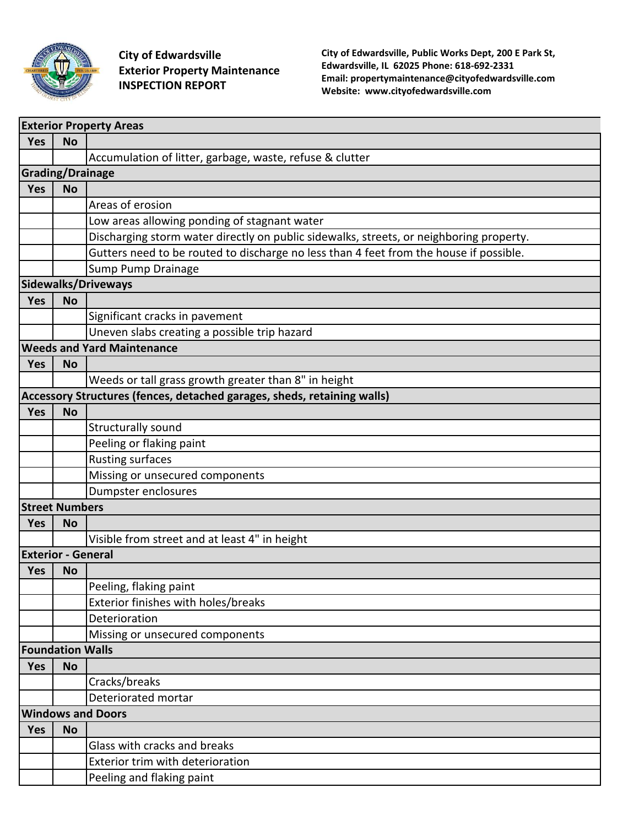

**City of Edwardsville Exterior Property Maintenance INSPECTION REPORT** 

**City of Edwardsville, Public Works Dept, 200 E Park St, Edwardsville, IL 62025 Phone: 618-692-2331 Email: propertymaintenance@cityofedwardsville.com Website: www.cityofedwardsville.com**

| <b>Exterior Property Areas</b>    |                         |                                                                                         |  |
|-----------------------------------|-------------------------|-----------------------------------------------------------------------------------------|--|
| Yes                               | <b>No</b>               |                                                                                         |  |
|                                   |                         | Accumulation of litter, garbage, waste, refuse & clutter                                |  |
| <b>Grading/Drainage</b>           |                         |                                                                                         |  |
| Yes                               | <b>No</b>               |                                                                                         |  |
|                                   |                         | Areas of erosion                                                                        |  |
|                                   |                         | Low areas allowing ponding of stagnant water                                            |  |
|                                   |                         | Discharging storm water directly on public sidewalks, streets, or neighboring property. |  |
|                                   |                         | Gutters need to be routed to discharge no less than 4 feet from the house if possible.  |  |
|                                   |                         | Sump Pump Drainage                                                                      |  |
| Sidewalks/Driveways               |                         |                                                                                         |  |
| Yes                               | <b>No</b>               |                                                                                         |  |
|                                   |                         | Significant cracks in pavement                                                          |  |
|                                   |                         | Uneven slabs creating a possible trip hazard                                            |  |
| <b>Weeds and Yard Maintenance</b> |                         |                                                                                         |  |
| <b>Yes</b>                        | <b>No</b>               |                                                                                         |  |
|                                   |                         | Weeds or tall grass growth greater than 8" in height                                    |  |
|                                   |                         | Accessory Structures (fences, detached garages, sheds, retaining walls)                 |  |
| <b>Yes</b>                        | <b>No</b>               |                                                                                         |  |
|                                   |                         | Structurally sound                                                                      |  |
|                                   |                         | Peeling or flaking paint                                                                |  |
|                                   |                         | <b>Rusting surfaces</b>                                                                 |  |
|                                   |                         | Missing or unsecured components                                                         |  |
|                                   |                         | Dumpster enclosures                                                                     |  |
|                                   | <b>Street Numbers</b>   |                                                                                         |  |
| <b>Yes</b>                        | <b>No</b>               |                                                                                         |  |
|                                   |                         | Visible from street and at least 4" in height                                           |  |
| <b>Exterior - General</b>         |                         |                                                                                         |  |
| Yes                               | <b>No</b>               |                                                                                         |  |
|                                   |                         | Peeling, flaking paint                                                                  |  |
|                                   |                         | Exterior finishes with holes/breaks                                                     |  |
|                                   |                         | Deterioration                                                                           |  |
|                                   |                         | Missing or unsecured components                                                         |  |
|                                   | <b>Foundation Walls</b> |                                                                                         |  |
| <b>Yes</b>                        | <b>No</b>               |                                                                                         |  |
|                                   |                         | Cracks/breaks                                                                           |  |
|                                   |                         | Deteriorated mortar                                                                     |  |
| <b>Windows and Doors</b>          |                         |                                                                                         |  |
| Yes                               | <b>No</b>               |                                                                                         |  |
|                                   |                         | Glass with cracks and breaks                                                            |  |
|                                   |                         | Exterior trim with deterioration                                                        |  |
|                                   |                         | Peeling and flaking paint                                                               |  |